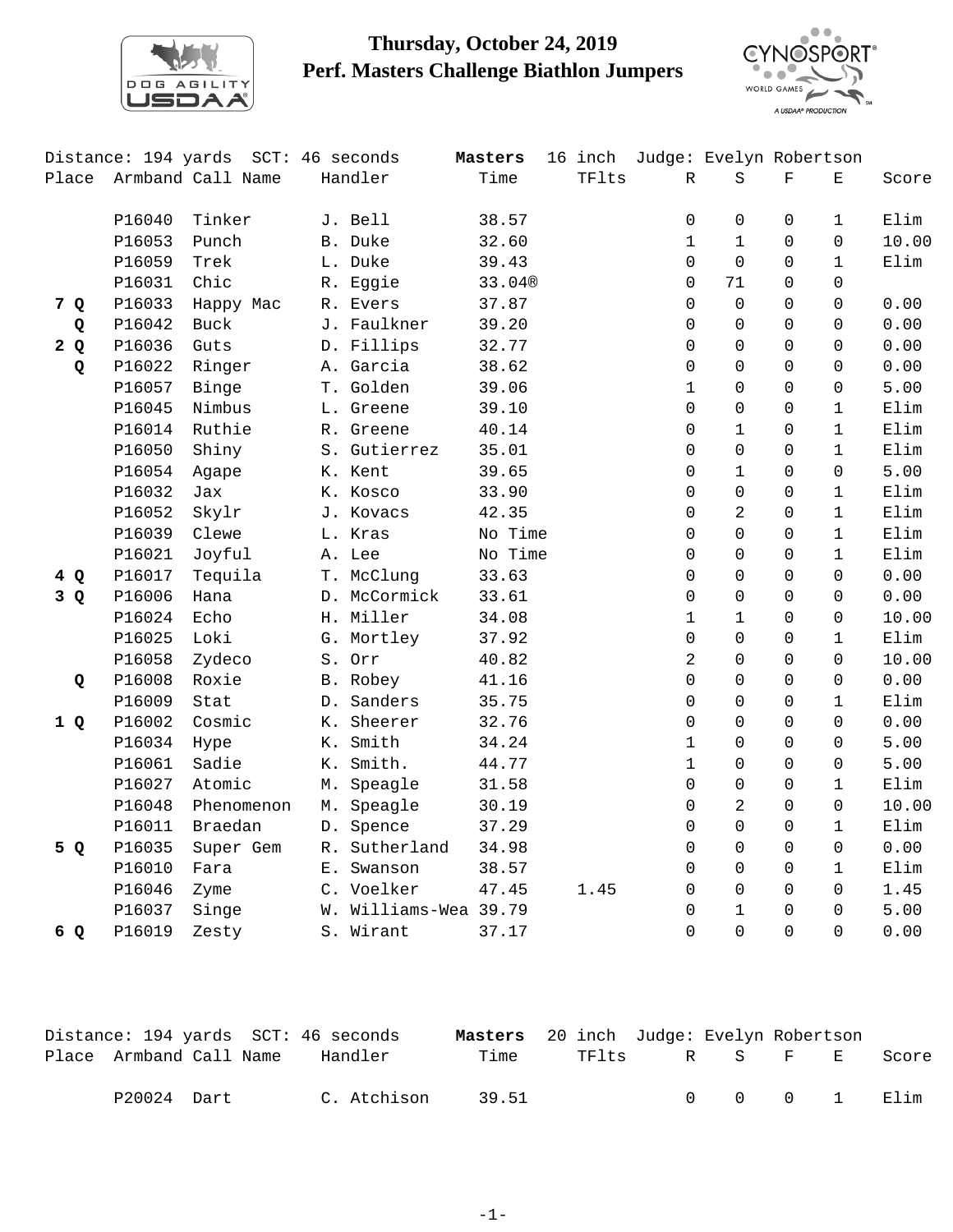

## **Thursday, October 24, 2019 Perf. Masters Challenge Biathlon Jumpers**



|       | Distance: 194 yards<br>SCT: 46 seconds |                   |                | Masters               | 16 inch |       | Judge: Evelyn Robertson |                |             |              |       |
|-------|----------------------------------------|-------------------|----------------|-----------------------|---------|-------|-------------------------|----------------|-------------|--------------|-------|
| Place |                                        | Armband Call Name |                | Handler               | Time    | TFlts | R                       | $\rm S$        | $\mathbf F$ | $\mathbf E$  | Score |
|       | P16040                                 | Tinker            |                | J. Bell               | 38.57   |       | $\Omega$                | $\mathsf 0$    | $\Omega$    | $\mathbf 1$  | Elim  |
|       | P16053                                 | Punch             |                | B. Duke               | 32.60   |       | $\mathbf{1}$            | $\mathbf{1}$   | $\Omega$    | $\Omega$     | 10.00 |
|       | P16059                                 | Trek              |                | L. Duke               | 39.43   |       | $\Omega$                | $\Omega$       | $\Omega$    | $\mathbf{1}$ | Elim  |
|       | P16031                                 | Chic              |                | R. Eggie              | 33.04®  |       | $\Omega$                | 71             | $\Omega$    | $\Omega$     |       |
| 7 Q   | P16033                                 | Happy Mac         |                | R. Evers              | 37.87   |       | $\Omega$                | $\Omega$       | $\Omega$    | 0            | 0.00  |
| Q     | P16042                                 | <b>Buck</b>       |                | J. Faulkner           | 39.20   |       | $\Omega$                | $\Omega$       | $\Omega$    | $\Omega$     | 0.00  |
| 2Q    | P16036                                 | Guts              |                | D. Fillips            | 32.77   |       | $\Omega$                | $\Omega$       | $\Omega$    | 0            | 0.00  |
| Q     | P16022                                 | Ringer            |                | A. Garcia             | 38.62   |       | $\Omega$                | $\Omega$       | $\Omega$    | $\Omega$     | 0.00  |
|       | P16057                                 | Binge             |                | T. Golden             | 39.06   |       | $\mathbf{1}$            | $\Omega$       | $\Omega$    | $\Omega$     | 5.00  |
|       | P16045                                 | Nimbus            |                | L. Greene             | 39.10   |       | $\Omega$                | $\Omega$       | $\Omega$    | $\mathbf{1}$ | Elim  |
|       | P16014                                 | Ruthie            |                | R. Greene             | 40.14   |       | $\Omega$                | $\mathbf{1}$   | $\Omega$    | $\mathbf{1}$ | Elim  |
|       | P16050                                 | Shiny             |                | S. Gutierrez          | 35.01   |       | $\Omega$                | $\Omega$       | $\Omega$    | $\mathbf{1}$ | Elim  |
|       | P16054                                 | Agape             |                | K. Kent               | 39.65   |       | $\Omega$                | $\mathbf{1}$   | $\Omega$    | $\Omega$     | 5.00  |
|       | P16032                                 | Jax               |                | K. Kosco              | 33.90   |       | $\Omega$                | $\mathbf 0$    | $\Omega$    | $\mathbf{1}$ | Elim  |
|       | P16052                                 | Skylr             |                | J. Kovacs             | 42.35   |       | $\Omega$                | 2              | $\Omega$    | $\mathbf{1}$ | Elim  |
|       | P16039                                 | Clewe             |                | L. Kras               | No Time |       | $\Omega$                | $\Omega$       | $\Omega$    | $\mathbf{1}$ | Elim  |
|       | P16021                                 | Joyful            |                | A. Lee                | No Time |       | $\Omega$                | $\mathbf 0$    | $\Omega$    | $\mathbf{1}$ | Elim  |
| 4Q    | P16017                                 | Tequila           |                | T. McClung            | 33.63   |       | $\Omega$                | $\mathbf 0$    | $\Omega$    | $\Omega$     | 0.00  |
| 3 Q   | P16006                                 | Hana              |                | D. McCormick          | 33.61   |       | $\mathbf 0$             | $\mathbf 0$    | $\Omega$    | 0            | 0.00  |
|       | P16024                                 | Echo              |                | H. Miller             | 34.08   |       | $\mathbf 1$             | $\mathbf{1}$   | $\Omega$    | 0            | 10.00 |
|       | P16025                                 | Loki              |                | G. Mortley            | 37.92   |       | 0                       | $\mathbf 0$    | $\Omega$    | $\mathbf 1$  | Elim  |
|       | P16058                                 | Zydeco            |                | S. Orr                | 40.82   |       | 2                       | $\overline{0}$ | $\Omega$    | 0            | 10.00 |
| Q     | P16008                                 | Roxie             |                | B. Robey              | 41.16   |       | $\Omega$                | $\Omega$       | $\Omega$    | $\Omega$     | 0.00  |
|       | P16009                                 | Stat              |                | D. Sanders            | 35.75   |       | $\Omega$                | $\Omega$       | $\Omega$    | $\mathbf{1}$ | Elim  |
| 1Q    | P16002                                 | Cosmic            |                | K. Sheerer            | 32.76   |       | $\Omega$                | $\Omega$       | $\Omega$    | 0            | 0.00  |
|       | P16034                                 | Hype              |                | K. Smith              | 34.24   |       | $\mathbf{1}$            | $\Omega$       | $\Omega$    | $\Omega$     | 5.00  |
|       | P16061                                 | Sadie             | Κ.             | Smith.                | 44.77   |       | $\mathbf{1}$            | $\Omega$       | $\Omega$    | 0            | 5.00  |
|       | P16027                                 | Atomic            | M <sub>1</sub> | Speagle               | 31.58   |       | $\Omega$                | $\mathbf 0$    | $\Omega$    | $\mathbf{1}$ | Elim  |
|       | P16048                                 | Phenomenon        |                | M. Speagle            | 30.19   |       | $\Omega$                | $\overline{2}$ | $\Omega$    | 0            | 10.00 |
|       | P16011                                 | Braedan           |                | D. Spence             | 37.29   |       | $\Omega$                | $\overline{0}$ | $\Omega$    | $\mathbf{1}$ | Elim  |
| 5 Q   | P16035                                 | Super Gem         |                | R. Sutherland         | 34.98   |       | $\Omega$                | $\Omega$       | $\Omega$    | $\Omega$     | 0.00  |
|       | P16010                                 | Fara              |                | E. Swanson            | 38.57   |       | 0                       | $\mathbf 0$    | $\Omega$    | $\mathbf 1$  | Elim  |
|       | P16046                                 | Zyme              |                | C. Voelker            | 47.45   | 1.45  | $\mathbf 0$             | $\mathbf 0$    | $\Omega$    | $\Omega$     | 1.45  |
|       | P16037                                 | Singe             |                | W. Williams-Wea 39.79 |         |       | $\mathbf 0$             | $\mathbf{1}$   | $\Omega$    | 0            | 5.00  |
| 6 Q   | P16019                                 | Zesty             |                | S. Wirant             | 37.17   |       | $\Omega$                | $\Omega$       | $\Omega$    | 0            | 0.00  |

| Distance: 194 yards SCT: 46 seconds |             |             | <b>Masters</b> 20 inch Judge: Evelyn Robertson |       |                                |  |       |
|-------------------------------------|-------------|-------------|------------------------------------------------|-------|--------------------------------|--|-------|
| Place Armband Call Name             |             | Handler     | Time                                           | TFlts | RS FE                          |  | Score |
|                                     | P20024 Dart | C. Atchison | 39.51                                          |       | $0 \qquad 0 \qquad 0 \qquad 1$ |  | Elim  |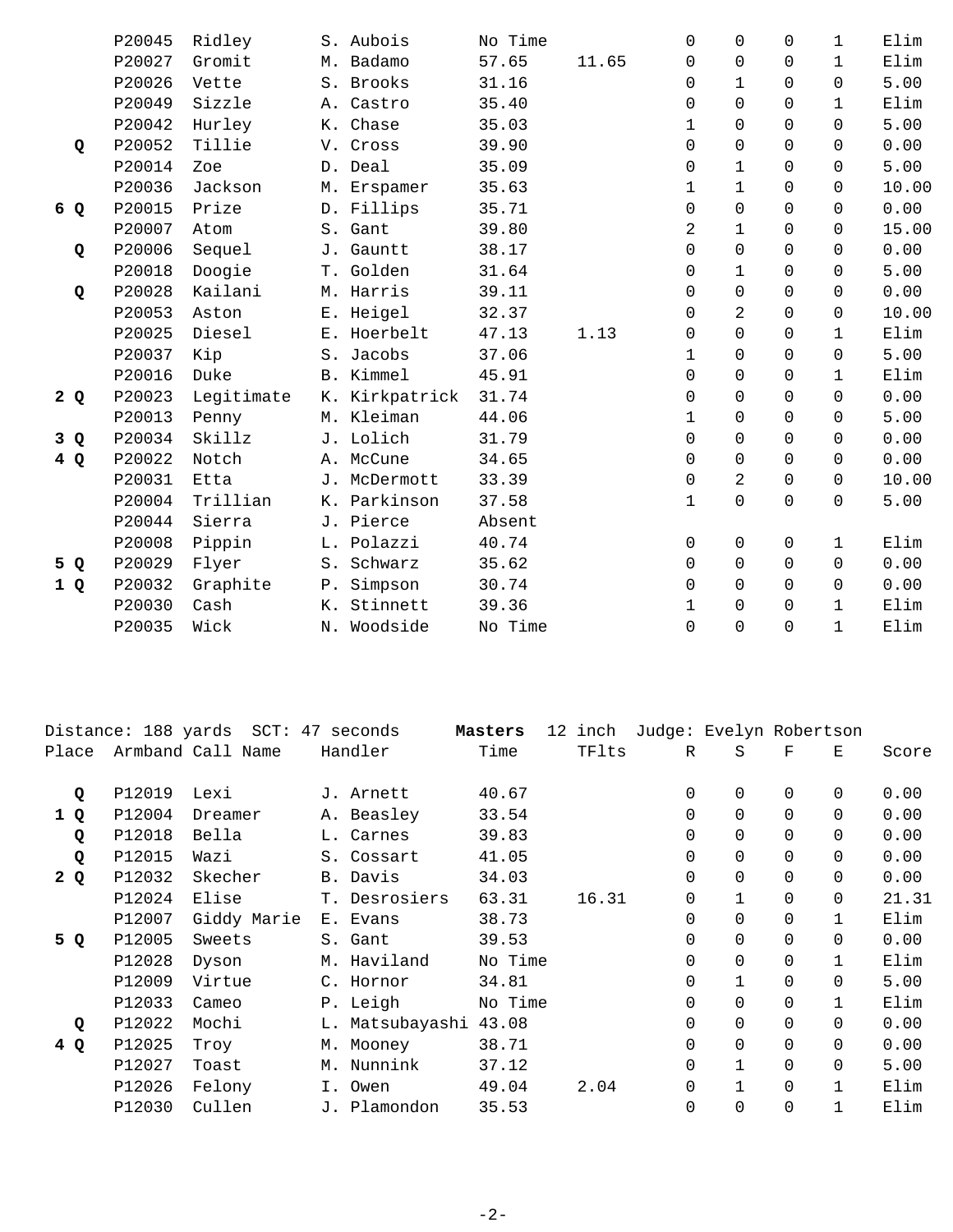|     | P20045 | Ridley     |       | S. Aubois      | No Time |       | $\Omega$    | $\Omega$       | $\Omega$ | $\mathbf{1}$ | Elim  |
|-----|--------|------------|-------|----------------|---------|-------|-------------|----------------|----------|--------------|-------|
|     | P20027 | Gromit     |       | M. Badamo      | 57.65   | 11.65 | 0           | 0              | $\Omega$ | $\mathbf{1}$ | Elim  |
|     | P20026 | Vette      |       | S. Brooks      | 31.16   |       | 0           | $\mathbf{1}$   | $\Omega$ | $\Omega$     | 5.00  |
|     | P20049 | Sizzle     |       | A. Castro      | 35.40   |       | 0           | $\Omega$       | $\Omega$ | $\mathbf{1}$ | Elim  |
|     | P20042 | Hurley     |       | K. Chase       | 35.03   |       | 1           | $\Omega$       | $\Omega$ | $\Omega$     | 5.00  |
| Q   | P20052 | Tillie     |       | V. Cross       | 39.90   |       | 0           | $\Omega$       | $\Omega$ | $\Omega$     | 0.00  |
|     | P20014 | Zoe        |       | D. Deal        | 35.09   |       | 0           | $\mathbf{1}$   | $\Omega$ | $\Omega$     | 5.00  |
|     | P20036 | Jackson    |       | M. Erspamer    | 35.63   |       | $\mathbf 1$ | $\mathbf{1}$   | $\Omega$ | $\Omega$     | 10.00 |
| 6 Q | P20015 | Prize      |       | D. Fillips     | 35.71   |       | 0           | $\Omega$       | $\Omega$ | $\Omega$     | 0.00  |
|     | P20007 | Atom       |       | S. Gant        | 39.80   |       | 2           | $\mathbf{1}$   | $\Omega$ | $\Omega$     | 15.00 |
| Q   | P20006 | Sequel     |       | J. Gauntt      | 38.17   |       | 0           | $\Omega$       | $\Omega$ | $\Omega$     | 0.00  |
|     | P20018 | Doogie     |       | T. Golden      | 31.64   |       | 0           | $\mathbf{1}$   | $\Omega$ | $\Omega$     | 5.00  |
| Q   | P20028 | Kailani    |       | M. Harris      | 39.11   |       | 0           | $\Omega$       | $\Omega$ | $\Omega$     | 0.00  |
|     | P20053 | Aston      |       | E. Heigel      | 32.37   |       | 0           | $\overline{a}$ | $\Omega$ | $\Omega$     | 10.00 |
|     | P20025 | Diesel     |       | E. Hoerbelt    | 47.13   | 1.13  | 0           | $\Omega$       | $\Omega$ | $\mathbf{1}$ | Elim  |
|     | P20037 | Kip        |       | S. Jacobs      | 37.06   |       | 1           | $\Omega$       | $\Omega$ | $\Omega$     | 5.00  |
|     | P20016 | Duke       |       | B. Kimmel      | 45.91   |       | 0           | $\Omega$       | $\Omega$ | $\mathbf{1}$ | Elim  |
| 2Q  | P20023 | Legitimate |       | K. Kirkpatrick | 31.74   |       | 0           | $\Omega$       | $\Omega$ | $\Omega$     | 0.00  |
|     | P20013 | Penny      |       | M. Kleiman     | 44.06   |       | 1           | $\Omega$       | $\Omega$ | $\Omega$     | 5.00  |
| 3 Q | P20034 | Skillz     |       | J. Lolich      | 31.79   |       | 0           | $\Omega$       | $\Omega$ | $\Omega$     | 0.00  |
| 4Q  | P20022 | Notch      |       | A. McCune      | 34.65   |       | 0           | 0              | $\Omega$ | $\Omega$     | 0.00  |
|     | P20031 | Etta       |       | J. McDermott   | 33.39   |       | $\Omega$    | $\overline{2}$ | $\Omega$ | $\Omega$     | 10.00 |
|     | P20004 | Trillian   |       | K. Parkinson   | 37.58   |       | $\mathbf 1$ | 0              | $\Omega$ | $\Omega$     | 5.00  |
|     | P20044 | Sierra     |       | J. Pierce      | Absent  |       |             |                |          |              |       |
|     | P20008 | Pippin     |       | L. Polazzi     | 40.74   |       | 0           | 0              | $\Omega$ | $\mathbf{1}$ | Elim  |
| 5 Q | P20029 | Flyer      |       | S. Schwarz     | 35.62   |       | $\mathbf 0$ | $\Omega$       | $\Omega$ | $\Omega$     | 0.00  |
| 1Q  | P20032 | Graphite   | $P$ . | Simpson        | 30.74   |       | 0           | $\Omega$       | $\Omega$ | $\Omega$     | 0.00  |
|     | P20030 | Cash       | К.    | Stinnett       | 39.36   |       | $\mathbf 1$ | 0              | $\Omega$ | $\mathbf 1$  | Elim  |
|     | P20035 | Wick       |       | N. Woodside    | No Time |       | $\Omega$    | $\Omega$       | $\Omega$ | $\mathbf{1}$ | Elim  |

|       |        | Distance: 188 yards SCT: 47 seconds |                 | Masters | 12 inch |          |              | Judge: Evelyn Robertson  |       |
|-------|--------|-------------------------------------|-----------------|---------|---------|----------|--------------|--------------------------|-------|
| Place |        | Armband Call Name                   | Handler         | Time    | TFlts   | R        | S            | $\mathbf F$<br>Е         | Score |
|       |        |                                     |                 |         |         |          |              |                          |       |
| Q     | P12019 | Lexi                                | J. Arnett       | 40.67   |         | 0        | $\mathbf 0$  | $\Omega$<br>$\Omega$     | 0.00  |
| 1 Q   | P12004 | Dreamer                             | A. Beasley      | 33.54   |         | 0        | $\Omega$     | $\Omega$<br>$\Omega$     | 0.00  |
| Q     | P12018 | Bella                               | L. Carnes       | 39.83   |         | 0        | $\Omega$     | $\Omega$<br>$\Omega$     | 0.00  |
| Q     | P12015 | Wazi                                | S. Cossart      | 41.05   |         | 0        | 0            | $\Omega$<br>$\Omega$     | 0.00  |
| 2Q    | P12032 | Skecher                             | B. Davis        | 34.03   |         | $\Omega$ | $\Omega$     | $\Omega$<br>$\Omega$     | 0.00  |
|       | P12024 | Elise                               | T. Desrosiers   | 63.31   | 16.31   | 0        | $\mathbf{1}$ | $\Omega$<br>$\Omega$     | 21.31 |
|       | P12007 | Giddy Marie                         | E. Evans        | 38.73   |         | $\Omega$ | $\Omega$     | $\Omega$                 | Elim  |
| 5 Q   | P12005 | Sweets                              | S. Gant         | 39.53   |         | 0        | $\Omega$     | $\Omega$<br>$\Omega$     | 0.00  |
|       | P12028 | Dyson                               | M. Haviland     | No Time |         | 0        | $\mathbf 0$  | $\Omega$                 | Elim  |
|       | P12009 | Virtue                              | C. Hornor       | 34.81   |         | $\Omega$ | $\mathbf{1}$ | $\Omega$<br>$\Omega$     | 5.00  |
|       | P12033 | Cameo                               | P. Leigh        | No Time |         | 0        | $\Omega$     | $\Omega$                 | Elim  |
| Q     | P12022 | Mochi                               | L. Matsubayashi | 43.08   |         | $\Omega$ | $\Omega$     | $\Omega$<br>$\Omega$     | 0.00  |
| 4 Q   | P12025 | Troy                                | M. Mooney       | 38.71   |         | 0        | $\Omega$     | $\Omega$<br>$\Omega$     | 0.00  |
|       | P12027 | Toast                               | M. Nunnink      | 37.12   |         | $\Omega$ | $\mathbf{1}$ | $\Omega$<br>$\Omega$     | 5.00  |
|       | P12026 | Felony                              | I. Owen         | 49.04   | 2.04    | 0        | $\mathbf{1}$ | $\Omega$<br>$\mathbf{1}$ | Elim  |
|       | P12030 | Cullen                              | J. Plamondon    | 35.53   |         | 0        | $\mathbf 0$  | $\Omega$                 | Elim  |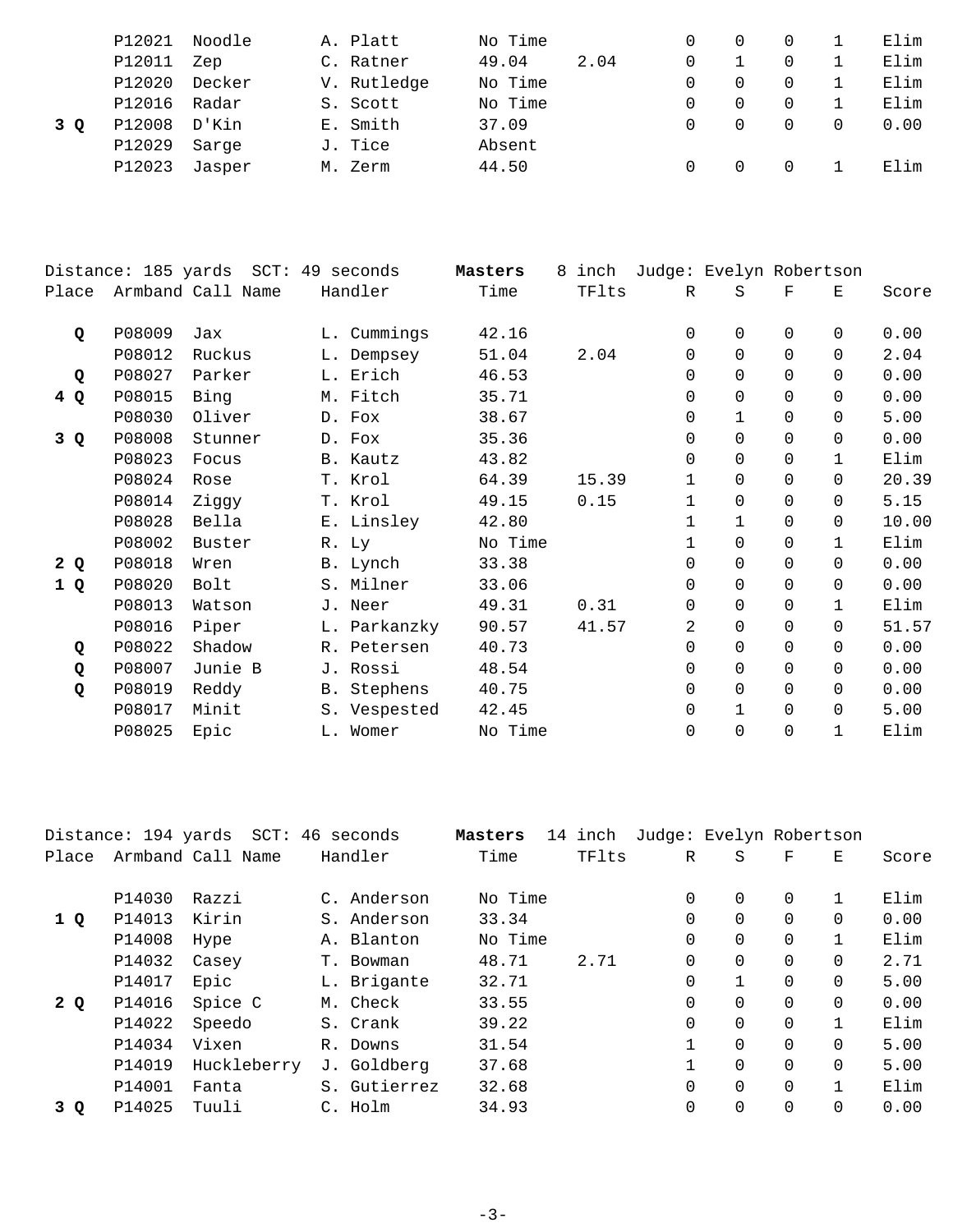|     | P12021 | Noodle | A. Platt    | No Time |      |          |  | Elim |
|-----|--------|--------|-------------|---------|------|----------|--|------|
|     | P12011 | Zep    | C. Ratner   | 49.04   | 2.04 |          |  | Elim |
|     | P12020 | Decker | V. Rutledge | No Time |      | $\Omega$ |  | Elim |
|     | P12016 | Radar  | S. Scott    | No Time |      |          |  | Elim |
| 3 O | P12008 | D'Kin  | E. Smith    | 37.09   |      |          |  | 0.00 |
|     | P12029 | Sarge  | J. Tice     | Absent  |      |          |  |      |
|     | P12023 | Jasper | M. Zerm     | 44.50   |      |          |  | Elim |
|     |        |        |             |         |      |          |  |      |

|       | Distance: 185 yards | $SCT$ :<br>49 seconds | Masters<br>8 | inch    | Judge: Evelyn Robertson |              |              |          |              |       |
|-------|---------------------|-----------------------|--------------|---------|-------------------------|--------------|--------------|----------|--------------|-------|
| Place |                     | Armband Call Name     | Handler      | Time    | TFlts                   | $\mathbb R$  | S            | F        | Е            | Score |
| Q     | P08009              | Jax                   | L. Cummings  | 42.16   |                         | $\mathbf 0$  | 0            | $\Omega$ | $\Omega$     | 0.00  |
|       | P08012              | Ruckus                | L. Dempsey   | 51.04   | 2.04                    | $\mathbf 0$  | $\Omega$     | $\Omega$ | $\Omega$     | 2.04  |
| Q     | P08027              | Parker                | L. Erich     | 46.53   |                         | $\Omega$     | $\Omega$     | $\Omega$ | $\Omega$     | 0.00  |
| 4 Q   | P08015              | Bing                  | M. Fitch     | 35.71   |                         | 0            | 0            | $\Omega$ | $\Omega$     | 0.00  |
|       | P08030              | Oliver                | D. Fox       | 38.67   |                         | 0            | $\mathbf 1$  | $\Omega$ | $\Omega$     | 5.00  |
| 3 Q   | P08008              | Stunner               | D. Fox       | 35.36   |                         | $\Omega$     | $\Omega$     | $\Omega$ | $\Omega$     | 0.00  |
|       | P08023              | Focus                 | B. Kautz     | 43.82   |                         | $\Omega$     | $\Omega$     | $\Omega$ | $\mathbf{1}$ | Elim  |
|       | P08024              | Rose                  | T. Krol      | 64.39   | 15.39                   | 1            | 0            | $\Omega$ | $\Omega$     | 20.39 |
|       | P08014              | Ziggy                 | T. Krol      | 49.15   | 0.15                    | 1            | 0            | $\Omega$ | $\Omega$     | 5.15  |
|       | P08028              | Bella                 | E. Linsley   | 42.80   |                         | $\mathbf{1}$ | $\mathbf{1}$ | $\Omega$ | $\Omega$     | 10.00 |
|       | P08002              | Buster                | R. Ly        | No Time |                         | 1            | $\Omega$     | $\Omega$ | $\mathbf{1}$ | Elim  |
| 2Q    | P08018              | Wren                  | B. Lynch     | 33.38   |                         | $\Omega$     | $\Omega$     | $\Omega$ | $\Omega$     | 0.00  |
| 1 Q   | P08020              | Bolt                  | S. Milner    | 33.06   |                         | $\mathbf 0$  | 0            | $\Omega$ | $\Omega$     | 0.00  |
|       | P08013              | Watson                | J. Neer      | 49.31   | 0.31                    | 0            | $\Omega$     | $\Omega$ | $\mathbf{1}$ | Elim  |
|       | P08016              | Piper                 | L. Parkanzky | 90.57   | 41.57                   | 2            | $\Omega$     | $\Omega$ | $\Omega$     | 51.57 |
| Q     | P08022              | Shadow                | R. Petersen  | 40.73   |                         | $\mathbf 0$  | 0            | $\Omega$ | $\Omega$     | 0.00  |
| Q     | P08007              | Junie B               | J. Rossi     | 48.54   |                         | 0            | 0            | $\Omega$ | $\Omega$     | 0.00  |
| Q     | P08019              | Reddy                 | B. Stephens  | 40.75   |                         | $\mathbf 0$  | $\Omega$     | $\Omega$ | $\Omega$     | 0.00  |
|       | P08017              | Minit                 | S. Vespested | 42.45   |                         | $\Omega$     | $\mathbf{1}$ | $\Omega$ | $\Omega$     | 5.00  |
|       | P08025              | Epic                  | L. Womer     | No Time |                         | $\Omega$     | $\Omega$     | $\Omega$ | 1            | Elim  |
|       |                     |                       |              |         |                         |              |              |          |              |       |

|       | Distance: 194 yards |                   | SCT: 46 seconds | Masters | 14 inch |          | Judge: Evelyn Robertson |          |          |       |
|-------|---------------------|-------------------|-----------------|---------|---------|----------|-------------------------|----------|----------|-------|
| Place |                     | Armband Call Name | Handler         | Time    | TFlts   | R        | S                       | F        | Ε        | Score |
|       | P14030              | Razzi             | C. Anderson     | No Time |         | $\Omega$ | $\Omega$                | $\Omega$ |          | Elim  |
| 1Q    | P14013              | Kirin             | S. Anderson     | 33.34   |         | 0        | $\Omega$                | $\Omega$ | 0        | 0.00  |
|       | P14008              | Hype              | A. Blanton      | No Time |         | 0        | $\Omega$                | $\Omega$ |          | Elim  |
|       | P14032              | Casey             | T. Bowman       | 48.71   | 2.71    | $\Omega$ | $\Omega$                | $\Omega$ | $\Omega$ | 2.71  |
|       | P14017              | Epic              | L. Brigante     | 32.71   |         | $\Omega$ |                         | $\Omega$ | 0        | 5.00  |
| 2Q    | P14016              | Spice C           | M. Check        | 33.55   |         | 0        | $\Omega$                | $\Omega$ | 0        | 0.00  |
|       | P14022              | Speedo            | S. Crank        | 39.22   |         | $\Omega$ | $\Omega$                | $\Omega$ |          | Elim  |
|       | P14034              | Vixen             | R. Downs        | 31.54   |         | 1        | $\Omega$                | $\Omega$ | 0        | 5.00  |
|       | P14019              | Huckleberry       | J. Goldberg     | 37.68   |         | 1        | $\Omega$                | $\Omega$ | $\Omega$ | 5.00  |
|       | P14001              | Fanta             | S. Gutierrez    | 32.68   |         | 0        | $\Omega$                | $\Omega$ |          | Elim  |
| 3 Q   | P14025              | Tuuli             | C. Holm         | 34.93   |         | $\Omega$ | $\Omega$                | $\Omega$ |          | 0.00  |